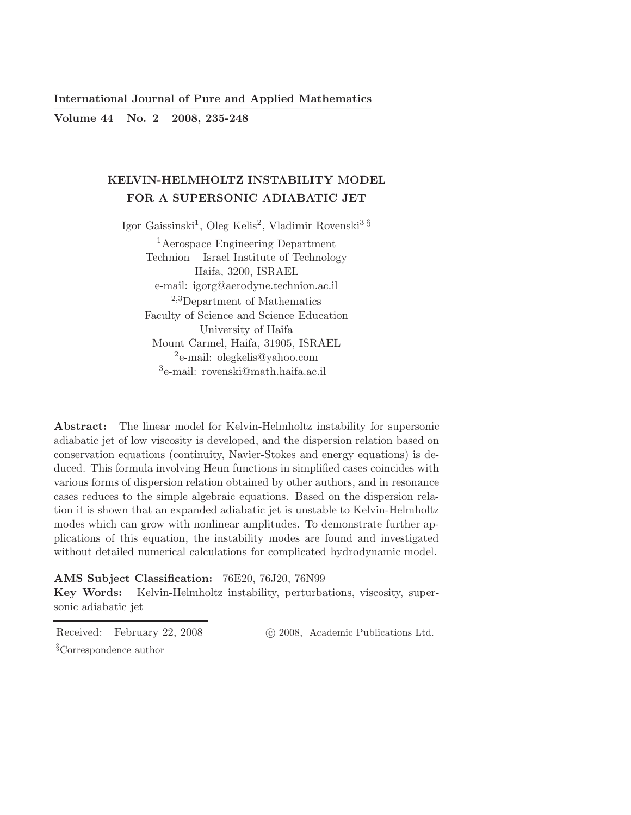International Journal of Pure and Applied Mathematics ————————————————————————–

Volume 44 No. 2 2008, 235-248

# KELVIN-HELMHOLTZ INSTABILITY MODEL FOR A SUPERSONIC ADIABATIC JET

Igor Gaissinski<sup>1</sup>, Oleg Kelis<sup>2</sup>, Vladimir Rovenski<sup>3§</sup>

<sup>1</sup> Aerospace Engineering Department Technion – Israel Institute of Technology Haifa, 3200, ISRAEL e-mail: igorg@aerodyne.technion.ac.il <sup>2</sup>,3Department of Mathematics Faculty of Science and Science Education University of Haifa Mount Carmel, Haifa, 31905, ISRAEL 2 e-mail: olegkelis@yahoo.com 3 e-mail: rovenski@math.haifa.ac.il

Abstract: The linear model for Kelvin-Helmholtz instability for supersonic adiabatic jet of low viscosity is developed, and the dispersion relation based on conservation equations (continuity, Navier-Stokes and energy equations) is deduced. This formula involving Heun functions in simplified cases coincides with various forms of dispersion relation obtained by other authors, and in resonance cases reduces to the simple algebraic equations. Based on the dispersion relation it is shown that an expanded adiabatic jet is unstable to Kelvin-Helmholtz modes which can grow with nonlinear amplitudes. To demonstrate further applications of this equation, the instability modes are found and investigated without detailed numerical calculations for complicated hydrodynamic model.

# AMS Subject Classification: 76E20, 76J20, 76N99

Key Words: Kelvin-Helmholtz instability, perturbations, viscosity, supersonic adiabatic jet

Received: February 22, 2008 (c) 2008, Academic Publications Ltd.

§Correspondence author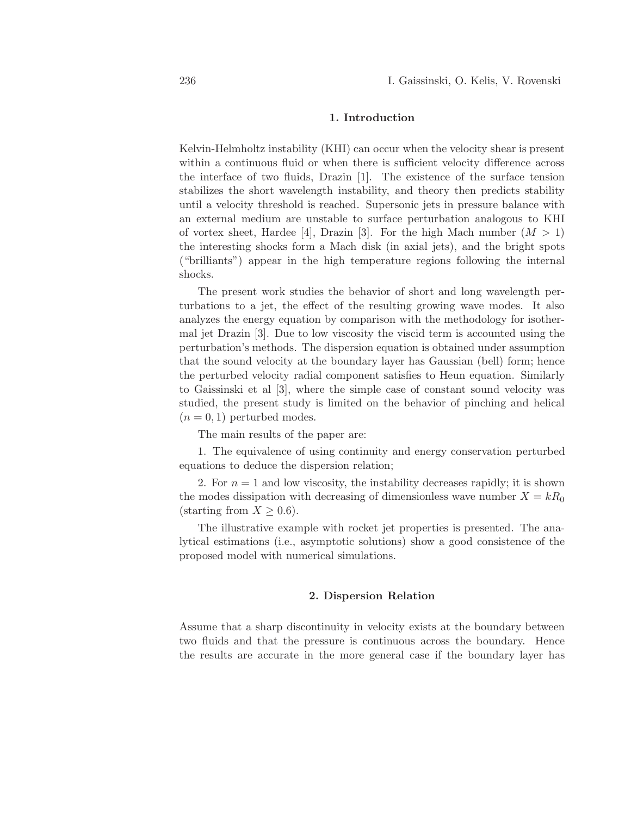## 1. Introduction

Kelvin-Helmholtz instability (KHI) can occur when the velocity shear is present within a continuous fluid or when there is sufficient velocity difference across the interface of two fluids, Drazin [1]. The existence of the surface tension stabilizes the short wavelength instability, and theory then predicts stability until a velocity threshold is reached. Supersonic jets in pressure balance with an external medium are unstable to surface perturbation analogous to KHI of vortex sheet, Hardee [4], Drazin [3]. For the high Mach number  $(M > 1)$ the interesting shocks form a Mach disk (in axial jets), and the bright spots ("brilliants") appear in the high temperature regions following the internal shocks.

The present work studies the behavior of short and long wavelength perturbations to a jet, the effect of the resulting growing wave modes. It also analyzes the energy equation by comparison with the methodology for isothermal jet Drazin [3]. Due to low viscosity the viscid term is accounted using the perturbation's methods. The dispersion equation is obtained under assumption that the sound velocity at the boundary layer has Gaussian (bell) form; hence the perturbed velocity radial component satisfies to Heun equation. Similarly to Gaissinski et al [3], where the simple case of constant sound velocity was studied, the present study is limited on the behavior of pinching and helical  $(n = 0, 1)$  perturbed modes.

The main results of the paper are:

1. The equivalence of using continuity and energy conservation perturbed equations to deduce the dispersion relation;

2. For  $n = 1$  and low viscosity, the instability decreases rapidly; it is shown the modes dissipation with decreasing of dimensionless wave number  $X = kR_0$ (starting from  $X \geq 0.6$ ).

The illustrative example with rocket jet properties is presented. The analytical estimations (i.e., asymptotic solutions) show a good consistence of the proposed model with numerical simulations.

### 2. Dispersion Relation

Assume that a sharp discontinuity in velocity exists at the boundary between two fluids and that the pressure is continuous across the boundary. Hence the results are accurate in the more general case if the boundary layer has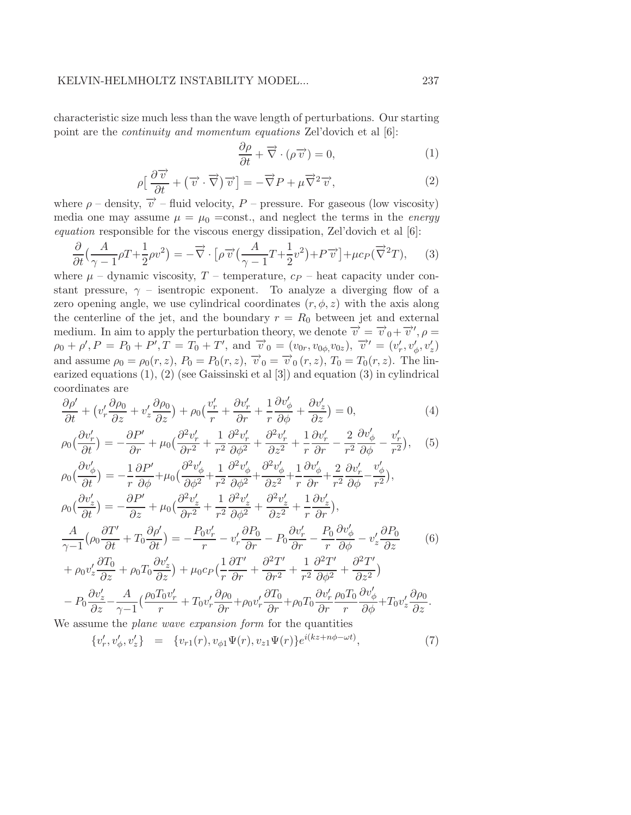characteristic size much less than the wave length of perturbations. Our starting point are the continuity and momentum equations Zel'dovich et al [6]:

$$
\frac{\partial \rho}{\partial t} + \vec{\nabla} \cdot (\rho \vec{v}) = 0,\tag{1}
$$

$$
\rho \left[ \frac{\partial \overrightarrow{v}}{\partial t} + (\overrightarrow{v} \cdot \overrightarrow{\nabla}) \overrightarrow{v} \right] = -\overrightarrow{\nabla} P + \mu \overrightarrow{\nabla}^2 \overrightarrow{v}, \tag{2}
$$

where  $\rho$  – density,  $\vec{v}$  – fluid velocity, P – pressure. For gaseous (low viscosity) media one may assume  $\mu = \mu_0 = \text{const.}$ , and neglect the terms in the *energy* equation responsible for the viscous energy dissipation, Zel'dovich et al [6]:

$$
\frac{\partial}{\partial t} \left( \frac{A}{\gamma - 1} \rho T + \frac{1}{2} \rho v^2 \right) = -\vec{\nabla} \cdot \left[ \rho \overrightarrow{v} \left( \frac{A}{\gamma - 1} T + \frac{1}{2} v^2 \right) + P \overrightarrow{v} \right] + \mu c_P (\overrightarrow{\nabla}^2 T), \tag{3}
$$

where  $\mu$  – dynamic viscosity, T – temperature,  $cp$  – heat capacity under constant pressure,  $\gamma$  – isentropic exponent. To analyze a diverging flow of a zero opening angle, we use cylindrical coordinates  $(r, \phi, z)$  with the axis along the centerline of the jet, and the boundary  $r = R_0$  between jet and external medium. In aim to apply the perturbation theory, we denote  $\overrightarrow{v} = \overrightarrow{v}_0 + \overrightarrow{v}'$ ,  $\rho =$  $\rho_0 + \rho', P = P_0 + P', T = T_0 + T', \text{ and } \vec{v}_0 = (v_{0r}, v_{0\phi}, v_{0z}), \vec{v}' = (v'_r, v'_{\phi}, v'_z)$ and assume  $\rho_0 = \rho_0(r, z)$ ,  $P_0 = P_0(r, z)$ ,  $\vec{v}_0 = \vec{v}_0(r, z)$ ,  $T_0 = T_0(r, z)$ . The linearized equations (1), (2) (see Gaissinski et al [3]) and equation (3) in cylindrical coordinates are

$$
\frac{\partial \rho'}{\partial t} + \left(v_r' \frac{\partial \rho_0}{\partial z} + v_z' \frac{\partial \rho_0}{\partial z}\right) + \rho_0 \left(\frac{v_r'}{r} + \frac{\partial v_r'}{\partial r} + \frac{1}{r} \frac{\partial v_\phi'}{\partial \phi} + \frac{\partial v_z'}{\partial z}\right) = 0,\tag{4}
$$

$$
\rho_0\left(\frac{\partial v'_r}{\partial t}\right) = -\frac{\partial P'}{\partial r} + \mu_0\left(\frac{\partial^2 v'_r}{\partial r^2} + \frac{1}{r^2}\frac{\partial^2 v'_r}{\partial \phi^2} + \frac{\partial^2 v'_r}{\partial z^2} + \frac{1}{r}\frac{\partial v'_r}{\partial r} - \frac{2}{r^2}\frac{\partial v'_\phi}{\partial \phi} - \frac{v'_r}{r^2}\right), \quad (5)
$$

$$
\rho_0\left(\frac{\partial v'_\phi}{\partial t}\right) = -\frac{1}{r}\frac{\partial P'}{\partial \phi} + \mu_0\left(\frac{\partial^2 v'_\phi}{\partial \phi^2} + \frac{1}{r^2}\frac{\partial^2 v'_\phi}{\partial \phi^2} + \frac{\partial^2 v'_\phi}{\partial z^2} + \frac{1}{r}\frac{\partial v'_\phi}{\partial r} + \frac{2}{r^2}\frac{\partial v'_r}{\partial \phi} - \frac{v'_\phi}{r^2}\right),
$$
  
\n
$$
\rho_0\left(\frac{\partial v'_z}{\partial t}\right) = -\frac{\partial P'}{\partial z} + \mu_0\left(\frac{\partial^2 v'_z}{\partial r^2} + \frac{1}{r^2}\frac{\partial^2 v'_z}{\partial \phi^2} + \frac{\partial^2 v'_z}{\partial z^2} + \frac{1}{r}\frac{\partial v'_z}{\partial r}\right),
$$
  
\n
$$
\frac{A}{\gamma - 1}\left(\rho_0\frac{\partial T'}{\partial t} + T_0\frac{\partial \rho'}{\partial t}\right) = -\frac{P_0 v'_r}{r} - v'_r\frac{\partial P_0}{\partial r} - P_0\frac{\partial v'_r}{\partial r} - \frac{P_0}{r}\frac{\partial v'_\phi}{\partial \phi} - v'_z\frac{\partial P_0}{\partial z} + \rho_0 v'_z\frac{\partial T_0}{\partial z} + \rho_0 T_0\frac{\partial v'_z}{\partial z}\right) + \mu_0 c_P\left(\frac{1}{r}\frac{\partial T'}{\partial r} + \frac{\partial^2 T'}{\partial r^2} + \frac{1}{r^2}\frac{\partial^2 T'}{\partial \phi^2} + \frac{\partial^2 T'}{\partial z^2}\right)
$$
  
\n
$$
-P_0\frac{\partial v'_z}{\partial z} - \frac{A}{\gamma - 1}\left(\frac{\rho_0 T_0 v'_r}{r} + T_0 v'_r\frac{\partial \rho_0}{\partial r} + \rho_0 v'_r\frac{\partial T_0}{\partial r} + \rho_0 T_0\frac{\partial v'_r}{\partial r}\frac{\rho_0 T_0}{r}\frac{\partial v'_\phi}{\partial \phi} + T_0 v'_z\frac{\partial \rho_0}{\partial z}.
$$

We assume the *plane wave expansion form* for the quantities

$$
\{v'_r, v'_\phi, v'_z\} = \{v_{r1}(r), v_{\phi 1}\Psi(r), v_{z1}\Psi(r)\}e^{i(kz+n\phi-\omega t)}, \tag{7}
$$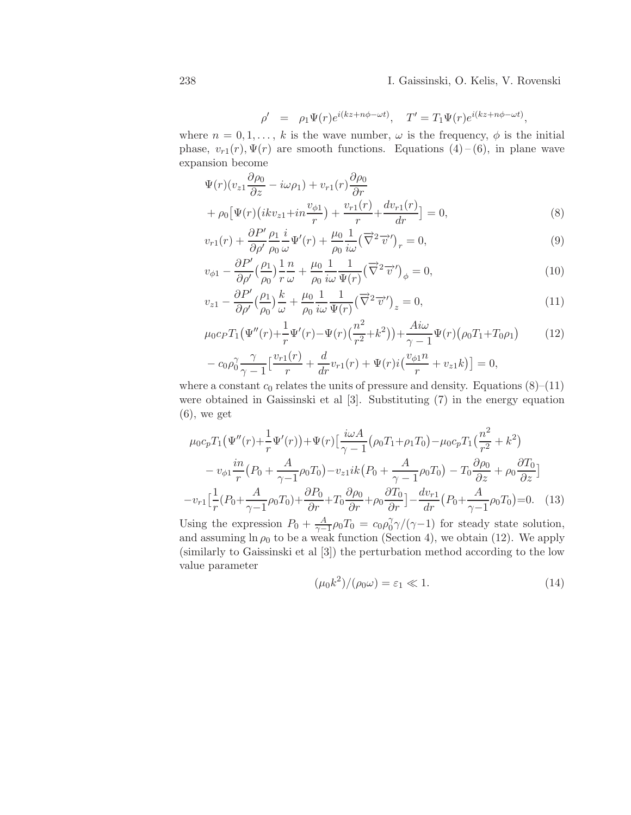$$
\rho' = \rho_1 \Psi(r) e^{i(kz + n\phi - \omega t)}, \quad T' = T_1 \Psi(r) e^{i(kz + n\phi - \omega t)},
$$

where  $n = 0, 1, \ldots, k$  is the wave number,  $\omega$  is the frequency,  $\phi$  is the initial phase,  $v_{r1}(r), \Psi(r)$  are smooth functions. Equations (4)-(6), in plane wave expansion become

$$
\Psi(r)(v_{z1}\frac{\partial \rho_0}{\partial z} - i\omega \rho_1) + v_{r1}(r)\frac{\partial \rho_0}{\partial r} \n+ \rho_0 \left[ \Psi(r) \left( ikv_{z1} + in\frac{v_{\phi 1}}{r} \right) + \frac{v_{r1}(r)}{r} + \frac{dv_{r1}(r)}{dr} \right] = 0,
$$
\n(8)

$$
v_{r1}(r) + \frac{\partial P'}{\partial \rho'} \frac{\rho_1}{\rho_0} \frac{i}{\omega} \Psi'(r) + \frac{\mu_0}{\rho_0} \frac{1}{i\omega} (\overrightarrow{\nabla}^2 \overrightarrow{v}')_r = 0,
$$
\n(9)

$$
v_{\phi 1} - \frac{\partial P'}{\partial \rho'} \left(\frac{\rho_1}{\rho_0}\right) \frac{1}{r} \frac{n}{\omega} + \frac{\mu_0}{\rho_0} \frac{1}{i\omega} \frac{1}{\Psi(r)} \left(\overrightarrow{\nabla}^2 \overrightarrow{v}'\right)_{\phi} = 0, \tag{10}
$$

$$
v_{z1} - \frac{\partial P'}{\partial \rho'} \left(\frac{\rho_1}{\rho_0}\right) \frac{k}{\omega} + \frac{\mu_0}{\rho_0} \frac{1}{i\omega} \frac{1}{\Psi(r)} \left(\overrightarrow{\nabla}^2 \overrightarrow{v}'\right)_z = 0,\tag{11}
$$

$$
\mu_0 c_P T_1 (\Psi''(r) + \frac{1}{r} \Psi'(r) - \Psi(r) (\frac{n^2}{r^2} + k^2)) + \frac{Ai\omega}{\gamma - 1} \Psi(r) (\rho_0 T_1 + T_0 \rho_1)
$$
(12)  

$$
- c_0 \rho_0^{\gamma} \frac{\gamma}{\gamma - 1} \left[ \frac{v_{r1}(r)}{r} + \frac{d}{dr} v_{r1}(r) + \Psi(r) i \left( \frac{v_{\phi 1} n}{r} + v_{z1} k \right) \right] = 0,
$$

where a constant  $c_0$  relates the units of pressure and density. Equations  $(8)$ – $(11)$ were obtained in Gaissinski et al [3]. Substituting (7) in the energy equation  $(6)$ , we get

$$
\mu_0 c_p T_1 \left( \Psi''(r) + \frac{1}{r} \Psi'(r) \right) + \Psi(r) \left[ \frac{i\omega A}{\gamma - 1} \left( \rho_0 T_1 + \rho_1 T_0 \right) - \mu_0 c_p T_1 \left( \frac{n^2}{r^2} + k^2 \right) \right]
$$

$$
- v_{\phi 1} \frac{in}{r} \left( P_0 + \frac{A}{\gamma - 1} \rho_0 T_0 \right) - v_{z1} i k \left( P_0 + \frac{A}{\gamma - 1} \rho_0 T_0 \right) - T_0 \frac{\partial \rho_0}{\partial z} + \rho_0 \frac{\partial T_0}{\partial z} \right]
$$

$$
- v_{r1} \left[ \frac{1}{r} \left( P_0 + \frac{A}{\gamma - 1} \rho_0 T_0 \right) + \frac{\partial P_0}{\partial r} + T_0 \frac{\partial \rho_0}{\partial r} + \rho_0 \frac{\partial T_0}{\partial r} \right] - \frac{dv_{r1}}{dr} \left( P_0 + \frac{A}{\gamma - 1} \rho_0 T_0 \right) = 0. \quad (13)
$$

Using the expression  $P_0 + \frac{A}{\gamma - 1}$  $\frac{A}{\gamma-1}\rho_0 T_0 = c_0 \rho_0^{\gamma}$  $\int_0^{\gamma} \gamma/(\gamma-1)$  for steady state solution, and assuming  $\ln \rho_0$  to be a weak function (Section 4), we obtain (12). We apply (similarly to Gaissinski et al [3]) the perturbation method according to the low value parameter

$$
(\mu_0 k^2) / (\rho_0 \omega) = \varepsilon_1 \ll 1. \tag{14}
$$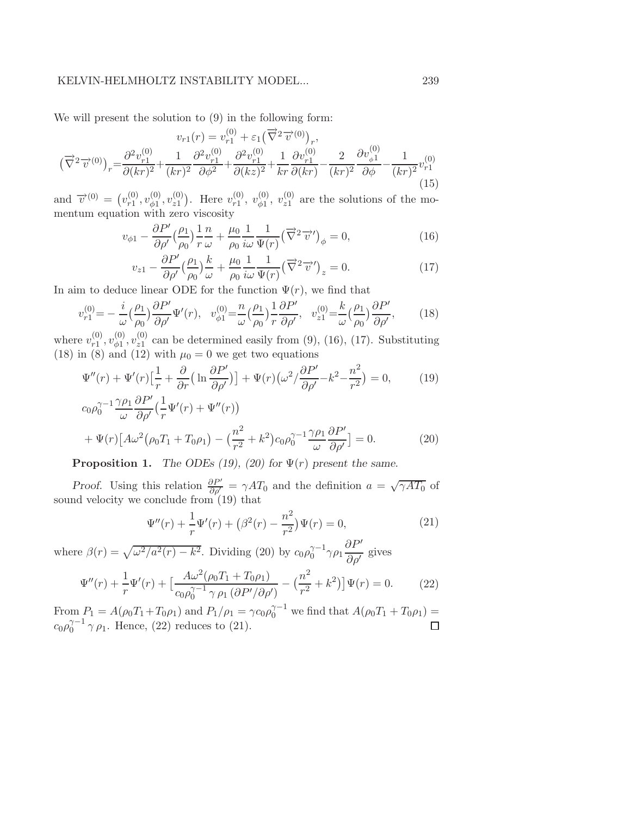## KELVIN-HELMHOLTZ INSTABILITY MODEL... 239

We will present the solution to (9) in the following form:

$$
v_{r1}(r) = v_{r1}^{(0)} + \varepsilon_1 \left(\overrightarrow{\nabla}^2 \overrightarrow{v}^{(0)}\right)_r,
$$
  

$$
\left(\overrightarrow{\nabla}^2 \overrightarrow{v}^{(0)}\right)_r = \frac{\partial^2 v_{r1}^{(0)}}{\partial (kr)^2} + \frac{1}{(kr)^2} \frac{\partial^2 v_{r1}^{(0)}}{\partial \phi^2} + \frac{\partial^2 v_{r1}^{(0)}}{\partial (kz)^2} + \frac{1}{kr} \frac{\partial v_{r1}^{(0)}}{\partial (kr)} - \frac{2}{(kr)^2} \frac{\partial v_{\phi1}^{(0)}}{\partial \phi} - \frac{1}{(kr)^2} v_{r1}^{(0)}
$$
(15)

and  $\vec{v}^{(0)} = (v_{r_1}^{(0)}$  $\overset{(0)}{r1}, \overset{(0)}{v_{\phi 1}}$  $\stackrel{(0)}{\phi 1},\stackrel{(0)}{v z 1}$  $v_{21}^{(0)}$ ). Here  $v_{r1}^{(0)}$  $v_{r1}^{(0)},\; v_{\phi 1}^{(0)}$  $_{\phi 1}^{(0)}, \, v_{z1}^{(0)}$  $z_1^{(0)}$  are the solutions of the momentum equation with zero viscosity

$$
v_{\phi 1} - \frac{\partial P'}{\partial \rho'} \left(\frac{\rho_1}{\rho_0}\right) \frac{1}{r} \frac{n}{\omega} + \frac{\mu_0}{\rho_0} \frac{1}{i\omega} \frac{1}{\Psi(r)} \left(\overrightarrow{\nabla}^2 \overrightarrow{v}'\right)_{\phi} = 0, \tag{16}
$$

$$
v_{z1} - \frac{\partial P'}{\partial \rho'} \left(\frac{\rho_1}{\rho_0}\right) \frac{k}{\omega} + \frac{\mu_0}{\rho_0} \frac{1}{i\omega} \frac{1}{\Psi(r)} \left(\overrightarrow{\nabla}^2 \overrightarrow{v}'\right)_z = 0.
$$
 (17)

In aim to deduce linear ODE for the function  $\Psi(r)$ , we find that

$$
v_{r1}^{(0)} = -\frac{i}{\omega} \left(\frac{\rho_1}{\rho_0}\right) \frac{\partial P'}{\partial \rho'} \Psi'(r), \quad v_{\phi 1}^{(0)} = \frac{n}{\omega} \left(\frac{\rho_1}{\rho_0}\right) \frac{1}{r} \frac{\partial P'}{\partial \rho'}, \quad v_{z1}^{(0)} = \frac{k}{\omega} \left(\frac{\rho_1}{\rho_0}\right) \frac{\partial P'}{\partial \rho'}, \tag{18}
$$

where  $v_{r1}^{(0)}$  $\overset{(0)}{r1}, \overset{(0)}{v_{\phi 1}}$  $\stackrel{(0)}{\scriptstyle \phi 1},\stackrel{(0)}{\scriptstyle v z 1}$  $z_1^{(0)}$  can be determined easily from (9), (16), (17). Substituting (18) in (8) and (12) with  $\mu_0 = 0$  we get two equations

$$
\Psi''(r) + \Psi'(r)\left[\frac{1}{r} + \frac{\partial}{\partial r}\left(\ln\frac{\partial P'}{\partial \rho'}\right)\right] + \Psi(r)\left(\omega^2/\frac{\partial P'}{\partial \rho'} - k^2 - \frac{n^2}{r^2}\right) = 0,\tag{19}
$$

$$
c_0 \rho_0^{\gamma - 1} \frac{\gamma \rho_1}{\omega} \frac{\partial P'}{\partial \rho'} \left( \frac{1}{r} \Psi'(r) + \Psi''(r) \right)
$$
  
+ 
$$
\Psi(r) \left[ A \omega^2 (\rho_0 T_1 + T_0 \rho_1) - \left( \frac{n^2}{r^2} + k^2 \right) c_0 \rho_0^{\gamma - 1} \frac{\gamma \rho_1}{\omega} \frac{\partial P'}{\partial \rho'} \right] = 0.
$$
 (20)

**Proposition 1.** The ODEs (19), (20) for  $\Psi(r)$  present the same.

*Proof.* Using this relation  $\frac{\partial P'}{\partial \rho'} = \gamma A T_0$  and the definition  $a = \sqrt{\gamma A T_0}$  of sound velocity we conclude from (19) that

$$
\Psi''(r) + \frac{1}{r}\Psi'(r) + \left(\beta^2(r) - \frac{n^2}{r^2}\right)\Psi(r) = 0,
$$
\n(21)

where  $\beta(r) = \sqrt{\omega^2/a^2(r) - k^2}$ . Dividing (20) by  $c_0 \rho_0^{\gamma-1} \gamma \rho_1 \frac{\partial P'}{\partial \rho'}$  $rac{\partial P}{\partial \rho'}$  gives

$$
\Psi''(r) + \frac{1}{r}\Psi'(r) + \left[\frac{A\omega^2(\rho_0 T_1 + T_0 \rho_1)}{c_0 \rho_0^{\gamma - 1} \gamma \rho_1 (\partial P' / \partial \rho')} - \left(\frac{n^2}{r^2} + k^2\right)\right] \Psi(r) = 0.
$$
 (22)

From  $P_1 = A(\rho_0 T_1 + T_0 \rho_1)$  and  $P_1/\rho_1 = \gamma c_0 \rho_0^{\gamma - 1}$  we find that  $A(\rho_0 T_1 + T_0 \rho_1) =$  $c_0 \rho_0^{\gamma-1} \gamma \rho_1$ . Hence, (22) reduces to (21).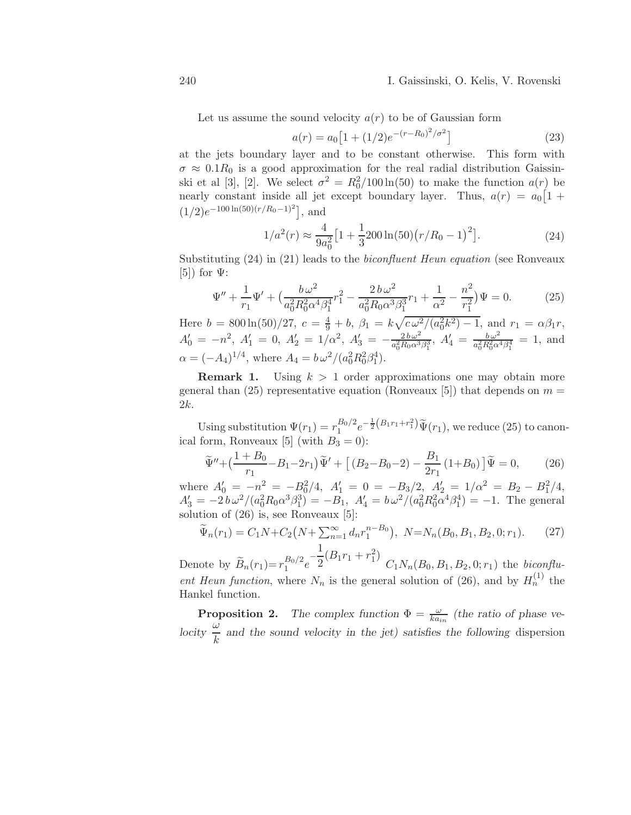Let us assume the sound velocity  $a(r)$  to be of Gaussian form

$$
a(r) = a_0 \left[ 1 + (1/2)e^{-(r - R_0)^2/\sigma^2} \right]
$$
\n(23)

at the jets boundary layer and to be constant otherwise. This form with  $\sigma \approx 0.1R_0$  is a good approximation for the real radial distribution Gaissinski et al [3], [2]. We select  $\sigma^2 = R_0^2/100 \ln(50)$  to make the function  $a(r)$  be nearly constant inside all jet except boundary layer. Thus,  $a(r) = a_0 \left[1 + \frac{r}{r}\right]$  $(1/2)e^{-100 \ln(50)(r/R_0-1)^2}$ , and

$$
1/a^2(r) \approx \frac{4}{9a_0^2} \left[ 1 + \frac{1}{3} 200 \ln(50) \left( r/R_0 - 1 \right)^2 \right]. \tag{24}
$$

Substituting (24) in (21) leads to the biconfluent Heun equation (see Ronveaux  $[5]$  for  $\Psi$ :

$$
\Psi'' + \frac{1}{r_1}\Psi' + \left(\frac{b\,\omega^2}{a_0^2 R_0^2 \alpha^4 \beta_1^4}r_1^2 - \frac{2\,b\,\omega^2}{a_0^2 R_0 \alpha^3 \beta_1^3}r_1 + \frac{1}{\alpha^2} - \frac{n^2}{r_1^2}\right)\Psi = 0.
$$
 (25)

Here  $b = 800 \ln(50)/27$ ,  $c = \frac{4}{9} + b$ ,  $\beta_1 = k \sqrt{c \omega^2/(a_0^2 k^2) - 1}$ , and  $r_1 = \alpha \beta_1 r$ ,  $A'_0 = -n^2$ ,  $A'_1 = 0$ ,  $A'_2 = 1/\alpha^2$ ,  $A'_3 = -\frac{2b\omega^2}{a_0^2 R_0 \alpha^3}$  $\frac{2 b \omega^2}{a_0^2 R_0 \alpha^3 \beta_1^3}$ ,  $A'_4 = \frac{b \omega^2}{a_0^2 R_0^2 \alpha^3}$  $\frac{b \omega^2}{a_0^2 R_0^2 \alpha^4 \beta_1^4} = 1$ , and  $\alpha = (-A_4)^{1/4}$ , where  $A_4 = b \omega^2 / (a_0^2 R_0^2 \beta_1^4)$ .

**Remark 1.** Using  $k > 1$  order approximations one may obtain more general than (25) representative equation (Ronveaux [5]) that depends on  $m =$ 2k.

Using substitution  $\Psi(r_1) = r_1^{B_0/2}$  $_{1}^{B_{0}/2}e^{-\frac{1}{2}(B_{1}r_{1}+r_{1}^{2})}\tilde{\Psi}(r_{1}),$  we reduce (25) to canonical form, Ronveaux [5] (with  $B_3 = 0$ ):

$$
\widetilde{\Psi}'' + \left(\frac{1+B_0}{r_1} - B_1 - 2r_1\right)\widetilde{\Psi}' + \left[ \left(B_2 - B_0 - 2\right) - \frac{B_1}{2r_1} \left(1 + B_0\right) \right] \widetilde{\Psi} = 0, \tag{26}
$$

where  $A'_0 = -n^2 = -B_0^2/4$ ,  $A'_1 = 0 = -B_3/2$ ,  $A'_2 = 1/\alpha^2 = B_2 - B_1^2/4$ ,  $A'_3 = -2b\omega^2/(a_0^2R_0\alpha^3\beta_1^3) = -B_1$ ,  $A'_4 = b\omega^2/(a_0^2R_0^2\alpha^4\beta_1^4) = -1$ . The general solution of (26) is, see Ronveaux [5]:

$$
\widetilde{\Psi}_n(r_1) = C_1 N + C_2 \left( N + \sum_{n=1}^{\infty} d_n r_1^{n-B_0} \right), \ N = N_n(B_0, B_1, B_2, 0; r_1). \tag{27}
$$

Denote by  $\widetilde{B}_n(r_1) = r_1^{B_0/2}$  $\frac{B_0}{2}e^{-t}$  $\frac{1}{2}(B_1r_1+r_1^2)$  $C_1N_n(B_0, B_1, B_2, 0; r_1)$  the *biconflu*ent Heun function, where  $N_n$  is the general solution of (26), and by  $H_n^{(1)}$  the Hankel function.

**Proposition 2.** The complex function  $\Phi = \frac{\omega}{ka_{in}}$  (the ratio of phase velocity  $\frac{\omega}{k}$  and the sound velocity in the jet) satisfies the following dispersion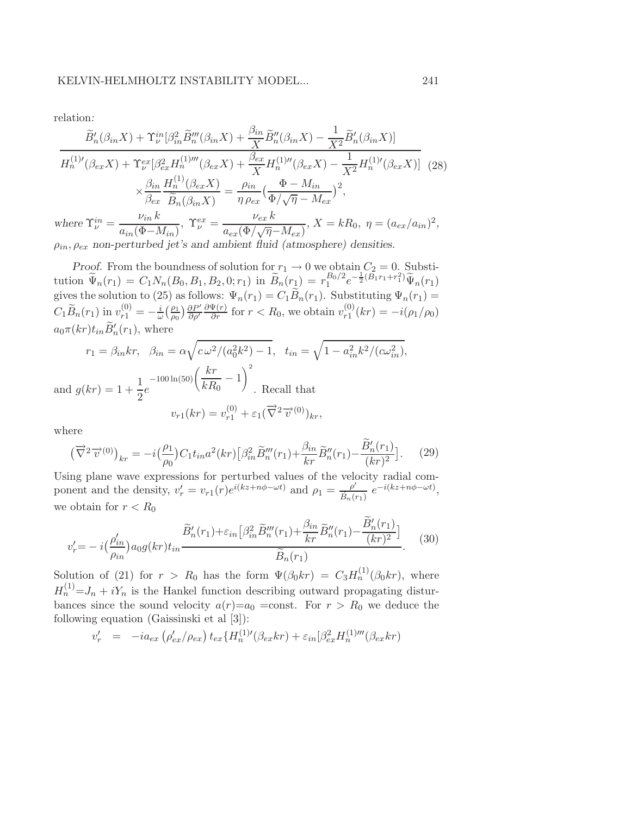relation:

$$
\frac{\widetilde{B}'_n(\beta_{in}X) + \Upsilon^{in}_\nu[\beta_{in}^2 \widetilde{B}'''_n(\beta_{in}X) + \frac{\beta_{in}}{X} \widetilde{B}''_n(\beta_{in}X) - \frac{1}{X^2} \widetilde{B}'_n(\beta_{in}X)]}{H_n^{(1)'}(\beta_{ex}X) + \Upsilon^{ex}_\nu[\beta_{ex}^2 H_n^{(1)'''}(\beta_{ex}X) + \frac{\beta_{ex}}{X} H_n^{(1)''}(\beta_{ex}X) - \frac{1}{X^2} H_n^{(1)'}(\beta_{ex}X)]} (28)
$$
\n
$$
\times \frac{\beta_{in}}{\beta_{ex}} \frac{H_n^{(1)}(\beta_{ex}X)}{\widetilde{B}_n(\beta_{in}X)} = \frac{\rho_{in}}{\eta \rho_{ex}} \left(\frac{\Phi - M_{in}}{\Phi/\sqrt{\eta} - M_{ex}}\right)^2,
$$
\nwhere  $\Upsilon^{in}_\nu = \frac{\nu_{in} k}{\sigma_\nu(\Phi - M_{in})}, \ \Upsilon^{ex}_\nu = \frac{\nu_{ex} k}{\sigma_\nu(\Phi - M_{in})}, \ X = kR_0, \ \eta = (a_{ex}/a_{in})^2,$ 

 $\frac{\nu_{in} k}{a_{in} (\Phi - M_{in})}, \ \Upsilon^{ex}_\nu = \frac{\nu_{ex} k}{a_{ex} (\Phi / \sqrt{\eta})}.$  $\frac{a_{ex}(\Phi/\sqrt{\eta}-M_{ex})}{a_{ex}(\Phi/\sqrt{\eta}-M_{ex})}, X = kR_0, \eta = (a_{ex}/a_{in})$  $\rho_{in}, \rho_{ex}$  non-perturbed jet's and ambient fluid (atmosphere) densities.

Proof. From the boundness of solution for  $r_1 \rightarrow 0$  we obtain  $C_2 = 0$ . Substitution  $\widetilde{\Psi}_n(r_1) = C_1 N_n(B_0, B_1, B_2, 0; r_1)$  in  $\widetilde{B}_n(r_1) = r_1^{B_0/2}$  $B_0/2 e^{-\frac{1}{2}(\hat{B_1}r_1+r_1^2)}\widetilde{\Psi}_n(r_1)$ gives the solution to (25) as follows:  $\Psi_n(r_1) = C_1 B_n(r_1)$ . Substituting  $\Psi_n(r_1) =$  $C_1\widetilde{B}_n(r_1)$  in  $v_{r1}^{(0)}=-\frac{i}{\omega}$  $\frac{i}{\omega} \Big( \frac{\rho_1}{\rho_0}$  $\frac{\rho_1}{\rho_0}$ )  $\frac{\partial P'}{\partial \rho'}$  $\frac{\partial P'}{\partial \rho'} \frac{\partial \Psi(r)}{\partial r}$  for  $r < R_0$ , we obtain  $v_{r1}^{(0)}$  $r_1^{(0)}(kr) = -i(\rho_1/\rho_0)$  $a_0\pi(kr)t_{in}B'_n(r_1)$ , where

$$
r_1 = \beta_{in}kr, \quad \beta_{in} = \alpha \sqrt{c\omega^2/(a_0^2k^2) - 1}, \quad t_{in} = \sqrt{1 - a_{in}^2k^2/(c\omega_{in}^2)},
$$
  
and  $g(kr) = 1 + \frac{1}{2}e^{-100\ln(50)}\left(\frac{kr}{kR_0} - 1\right)^2$ . Recall that  

$$
v_{r1}(kr) = v_{r1}^{(0)} + \varepsilon_1(\overrightarrow{\nabla}^2 \overrightarrow{v}^{(0)})_{kr},
$$

where

$$
\left(\overrightarrow{\nabla}^{2}\overrightarrow{v}^{(0)}\right)_{kr} = -i\left(\frac{\rho_{1}}{\rho_{0}}\right)C_{1}t_{in}a^{2}(kr)\left[\beta_{in}^{2}\widetilde{B}_{n}'''(r_{1}) + \frac{\beta_{in}}{kr}\widetilde{B}_{n}''(r_{1}) - \frac{\widetilde{B}_{n}'(r_{1})}{(kr)^{2}}\right].
$$
 (29)

Using plane wave expressions for perturbed values of the velocity radial component and the density,  $v'_r = v_{r1}(r)e^{i(kz+n\phi-\omega t)}$  and  $\rho_1 = \frac{\rho'}{\tilde{\rho}_r(\rho)}$  $\frac{\rho'}{\widetilde{B}_n(r_1)} e^{-i(kz+n\phi-\omega t)},$ we obtain for  $r < R_0$ 

$$
v_r' = -i\left(\frac{\rho_{in}'}{\rho_{in}}\right)a_0 g(kr)t_{in} \frac{\widetilde{B}_n'(r_1) + \varepsilon_{in} \left[\beta_{in}^2 \widetilde{B}_n'''(r_1) + \frac{\beta_{in}}{kr} \widetilde{B}_n''(r_1) - \frac{B_n'(r_1)}{(kr)^2}\right]}{\widetilde{B}_n(r_1)}.
$$
(30)

Solution of (21) for  $r > R_0$  has the form  $\Psi(\beta_0 kr) = C_3 H_n^{(1)}(\beta_0 kr)$ , where  $H_n^{(1)} = J_n + iY_n$  is the Hankel function describing outward propagating disturbances since the sound velocity  $a(r)=a_0$  =const. For  $r > R_0$  we deduce the following equation (Gaissinski et al [3]):

$$
v'_{r} = -i a_{ex} \left( \rho'_{ex} / \rho_{ex} \right) t_{ex} \{ H_{n}^{(1)'} (\beta_{ex} k r) + \varepsilon_{in} [\beta_{ex}^{2} H_{n}^{(1)'''} (\beta_{ex} k r)]
$$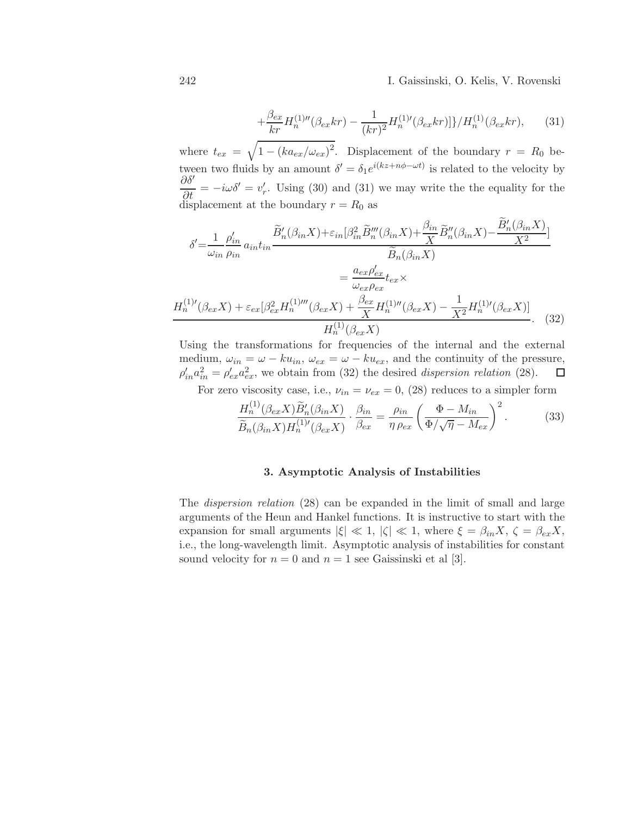242 I. Gaissinski, O. Kelis, V. Rovenski

$$
+\frac{\beta_{ex}}{kr}H_n^{(1)\prime\prime}(\beta_{ex}kr) - \frac{1}{(kr)^2}H_n^{(1)\prime}(\beta_{ex}kr)]\}/H_n^{(1)}(\beta_{ex}kr),\qquad(31)
$$

where  $t_{ex} = \sqrt{1 - (ka_{ex}/\omega_{ex})^2}$ . Displacement of the boundary  $r = R_0$  between two fluids by an amount  $\delta' = \delta_1 e^{i(kz + n\phi - \omega t)}$  is related to the velocity by  $\frac{\partial \delta'}{\partial t} = -i\omega \delta' = v'_r$ . Using (30) and (31) we may write the the equality for the displacement at the boundary  $r = R_0$  as

$$
\delta' = \frac{1}{\omega_{in}} \frac{\rho'_{in}}{\rho_{in}} a_{in} t_{in} \frac{\widetilde{B}'_n(\beta_{in} X) + \varepsilon_{in} [\beta_{in}^2 \widetilde{B}'''_n(\beta_{in} X) + \frac{\beta_{in}}{X} \widetilde{B}''_n(\beta_{in} X) - \frac{B'_n(\beta_{in} X)}{X^2}]}{\widetilde{B}_n(\beta_{in} X)} \n= \frac{a_{ex}\rho'_{ex}}{\omega_{ex}\rho_{ex}} t_{ex} \times \nH_n^{(1)'}(\beta_{ex} X) + \varepsilon_{ex} [\beta_{ex}^2 H_n^{(1)'''}(\beta_{ex} X) + \frac{\beta_{ex}}{X} H_n^{(1)''}(\beta_{ex} X) - \frac{1}{X^2} H_n^{(1)'}(\beta_{ex} X)]}{H_n^{(1)}(\beta_{ex} X)}.
$$
\n(32)

Using the transformations for frequencies of the internal and the external medium,  $\omega_{in} = \omega - ku_{in}$ ,  $\omega_{ex} = \omega - ku_{ex}$ , and the continuity of the pressure,<br> $\rho'_{in} a_{in}^2 = \rho'_{ex} a_{ex}^2$ , we obtain from (32) the desired *dispersion relation* (28).  $\Box$  $\rho'_{in} a_{in}^2 = \rho'_{ex} a_{ex}^2$ , we obtain from (32) the desired *dispersion relation* (28).

For zero viscosity case, i.e.,  $\nu_{in} = \nu_{ex} = 0$ , (28) reduces to a simpler form

$$
\frac{H_n^{(1)}(\beta_{ex}X)\widetilde{B}_n'(\beta_{in}X)}{\widetilde{B}_n(\beta_{in}X)H_n^{(1)'}(\beta_{ex}X)} \cdot \frac{\beta_{in}}{\beta_{ex}} = \frac{\rho_{in}}{\eta \rho_{ex}} \left(\frac{\Phi - M_{in}}{\Phi/\sqrt{\eta - M_{ex}}}\right)^2.
$$
(33)

#### 3. Asymptotic Analysis of Instabilities

The dispersion relation (28) can be expanded in the limit of small and large arguments of the Heun and Hankel functions. It is instructive to start with the expansion for small arguments  $|\xi| \ll 1$ ,  $|\zeta| \ll 1$ , where  $\xi = \beta_{in} X$ ,  $\zeta = \beta_{ex} X$ , i.e., the long-wavelength limit. Asymptotic analysis of instabilities for constant sound velocity for  $n = 0$  and  $n = 1$  see Gaissinski et al [3].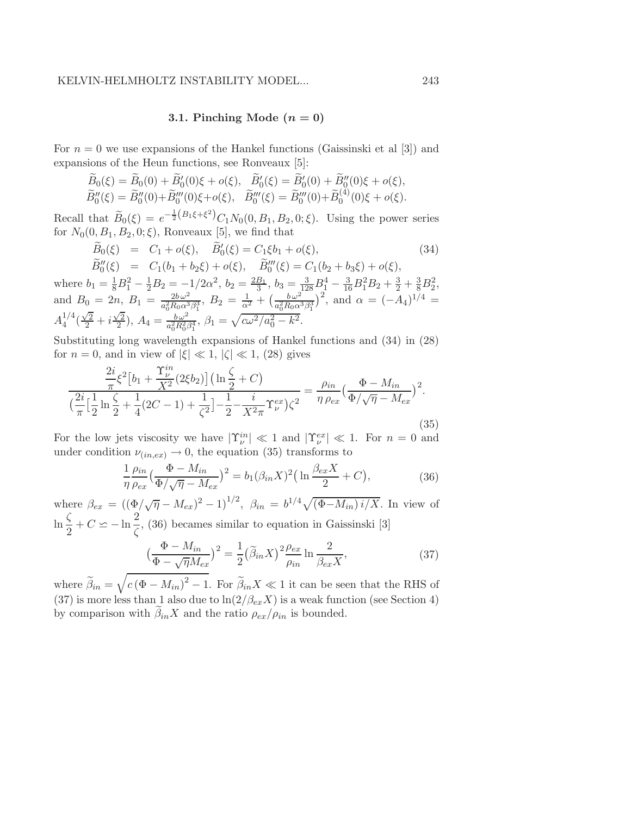# 3.1. Pinching Mode  $(n = 0)$

For  $n = 0$  we use expansions of the Hankel functions (Gaissinski et al [3]) and expansions of the Heun functions, see Ronveaux [5]:

$$
\widetilde{B}_0(\xi) = \widetilde{B}_0(0) + \widetilde{B}_0'(0)\xi + o(\xi), \quad \widetilde{B}_0'(\xi) = \widetilde{B}_0'(0) + \widetilde{B}_0''(0)\xi + o(\xi), \n\widetilde{B}_0''(\xi) = \widetilde{B}_0''(0) + \widetilde{B}_0'''(0)\xi + o(\xi), \quad \widetilde{B}_0'''(\xi) = \widetilde{B}_0'''(0) + \widetilde{B}_0^{(4)}(0)\xi + o(\xi).
$$

Recall that  $\widetilde{B}_0(\xi) = e^{-\frac{1}{2}(B_1\xi + \xi^2)} C_1 N_0(0, B_1, B_2, 0; \xi)$ . Using the power series for  $N_0(0, B_1, B_2, 0; \xi)$ , Ronveaux [5], we find that

$$
\widetilde{B}_0(\xi) = C_1 + o(\xi), \quad \widetilde{B}'_0(\xi) = C_1 \xi b_1 + o(\xi),
$$
\n
$$
\widetilde{D}''(\xi) = C_1 (b_1 + b_1 \xi) + o(\xi) \quad \widetilde{D}'''(\xi) = C_1 (b_1 + b_1 \xi) + o(\xi)
$$
\n(34)

 $B''_0(\xi) = C_1(b_1+b_2\xi) + o(\xi), \quad B'''_0(\xi) = C_1(b_2+b_3\xi) + o(\xi),$ where  $b_1 = \frac{1}{8}B_1^2 - \frac{1}{2}B_2 = -1/2\alpha^2$ ,  $b_2 = \frac{2B_1}{3}$  $\frac{B_1}{3}$ ,  $b_3 = \frac{3}{128}B_1^4 - \frac{3}{16}B_1^2B_2 + \frac{3}{2} + \frac{3}{8}B_2^2$ , and  $B_0 = 2n$ ,  $B_1 = \frac{2b\omega^2}{a^2 B_0 \omega^3}$  $\frac{2b\,\omega^2}{a_0^2R_0\alpha^3\beta_1^3},\ B_2 = \frac{1}{\alpha^2} + \big(\frac{b\,\omega^2}{a_0^2R_0\alpha^2}\big)$  $\frac{b\,\omega^2}{a_0^2 R_0 \alpha^3 \beta_1^3}$ , and  $\alpha = (-A_4)^{1/4}$  =  $A_4^{1/4}$  $\frac{1}{4}$  $(\frac{\sqrt{2}}{2} + i\frac{\sqrt{2}}{2})$  $(\frac{\sqrt{2}}{2}), A_4 = \frac{b\,\omega^2}{a_0^2R_0^2}$  $\frac{b\,\omega^2}{a_0^2R_0^2\beta_1^4}$ ,  $\beta_1 = \sqrt{c\omega^2/a_0^2 - k^2}$ .

Substituting long wavelength expansions of Hankel functions and (34) in (28) for  $n = 0$ , and in view of  $|\xi| \ll 1$ ,  $|\zeta| \ll 1$ , (28) gives

$$
\frac{\frac{2i}{\pi}\xi^2\left[b_1 + \frac{\Upsilon_{\nu}^{in}}{X^2}(2\xi b_2)\right] \left(\ln\frac{\zeta}{2} + C\right)}{\left(\frac{2i}{\pi}\left[\frac{1}{2}\ln\frac{\zeta}{2} + \frac{1}{4}(2C - 1) + \frac{1}{\zeta^2}\right] - \frac{1}{2} - \frac{i}{X^2\pi}\Upsilon_{\nu}^{ex}\right)\zeta^2} = \frac{\rho_{in}}{\eta \rho_{ex}} \left(\frac{\Phi - M_{in}}{\Phi/\sqrt{\eta} - M_{ex}}\right)^2.
$$
\n(35)

For the low jets viscosity we have  $|\Upsilon^{in}_{\nu}| \ll 1$  and  $|\Upsilon^{ex}_{\nu}| \ll 1$ . For  $n = 0$  and under condition  $\nu_{(in,ex)} \to 0$ , the equation (35) transforms to

$$
\frac{1}{\eta} \frac{\rho_{in}}{\rho_{ex}} \left(\frac{\Phi - M_{in}}{\Phi/\sqrt{\eta} - M_{ex}}\right)^2 = b_1 (\beta_{in} X)^2 \left(\ln \frac{\beta_{ex} X}{2} + C\right),\tag{36}
$$

where  $\beta_{ex} = ((\Phi/\sqrt{\eta} - M_{ex})^2 - 1)^{1/2}, \ \beta_{in} = b^{1/4}\sqrt{(\Phi - M_{in})i/X}$ . In view of  $\ln \frac{\zeta}{2} + C \simeq -\ln \frac{2}{\zeta}$ , (36) becames similar to equation in Gaissinski [3]

$$
\left(\frac{\Phi - M_{in}}{\Phi - \sqrt{\eta}M_{ex}}\right)^2 = \frac{1}{2} \left(\tilde{\beta}_{in}X\right)^2 \frac{\rho_{ex}}{\rho_{in}} \ln \frac{2}{\beta_{ex}X},\tag{37}
$$

where  $\beta_{in} =$  $\sqrt{ }$  $c(\Phi - M_{in})^2 - 1$ . For  $\widetilde{\beta}_{in}X \ll 1$  it can be seen that the RHS of (37) is more less than 1 also due to  $\ln(2/\beta_{ex}X)$  is a weak function (see Section 4) by comparison with  $\beta_{in}X$  and the ratio  $\rho_{ex}/\rho_{in}$  is bounded.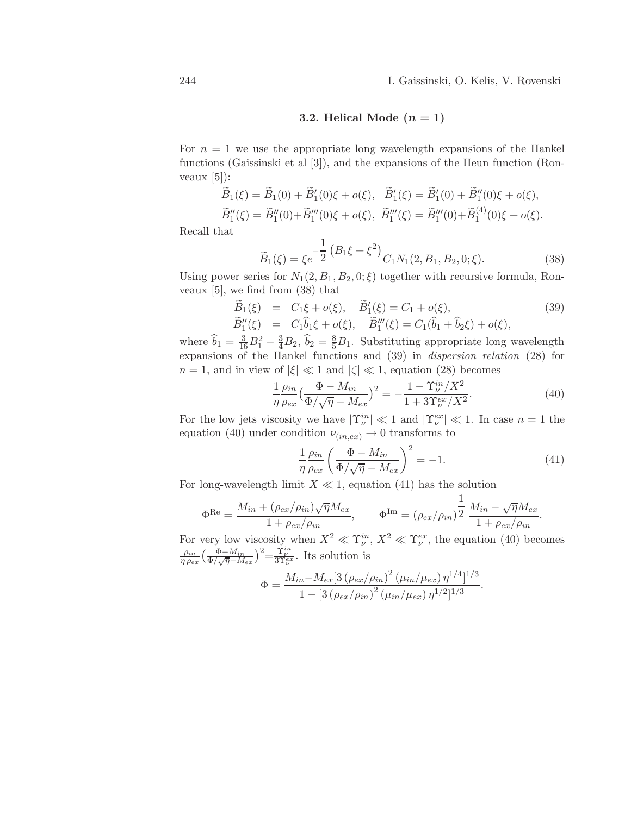## 3.2. Helical Mode  $(n = 1)$

For  $n = 1$  we use the appropriate long wavelength expansions of the Hankel functions (Gaissinski et al [3]), and the expansions of the Heun function (Ronveaux  $[5]$ :

$$
\widetilde{B}_1(\xi) = \widetilde{B}_1(0) + \widetilde{B}'_1(0)\xi + o(\xi), \quad \widetilde{B}'_1(\xi) = \widetilde{B}'_1(0) + \widetilde{B}''_1(0)\xi + o(\xi), \n\widetilde{B}''_1(\xi) = \widetilde{B}''_1(0) + \widetilde{B}'''_1(0)\xi + o(\xi), \quad \widetilde{B}'''_1(\xi) = \widetilde{B}'''_1(0) + \widetilde{B}^{(4)}_1(0)\xi + o(\xi).
$$

Recall that

$$
\widetilde{B}_1(\xi) = \xi e^{-\frac{1}{2} (B_1 \xi + \xi^2)} C_1 N_1(2, B_1, B_2, 0; \xi).
$$
\n(38)

Using power series for  $N_1(2, B_1, B_2, 0; \xi)$  together with recursive formula, Ronveaux  $[5]$ , we find from  $(38)$  that

$$
\widetilde{B}_1(\xi) = C_1 \xi + o(\xi), \quad \widetilde{B}'_1(\xi) = C_1 + o(\xi), \n\widetilde{B}''_1(\xi) = C_1 \widehat{b}_1 \xi + o(\xi), \quad \widetilde{B}'''_1(\xi) = C_1 (\widehat{b}_1 + \widehat{b}_2 \xi) + o(\xi),
$$
\n(39)

where  $\hat{b}_1 = \frac{3}{16}B_1^2 - \frac{3}{4}B_2$ ,  $\hat{b}_2 = \frac{8}{5}B_1$ . Substituting appropriate long wavelength expansions of the Hankel functions and (39) in dispersion relation (28) for  $n = 1$ , and in view of  $|\xi| \ll 1$  and  $|\zeta| \ll 1$ , equation (28) becomes

$$
\frac{1}{\eta} \frac{\rho_{in}}{\rho_{ex}} \left(\frac{\Phi - M_{in}}{\Phi / \sqrt{\eta} - M_{ex}}\right)^2 = -\frac{1 - \Upsilon_{\nu}^{in}/X^2}{1 + 3\Upsilon_{\nu}^{ex}/X^2}.
$$
\n(40)

For the low jets viscosity we have  $|\Upsilon^{in}_{\nu}| \ll 1$  and  $|\Upsilon^{ex}_{\nu}| \ll 1$ . In case  $n = 1$  the equation (40) under condition  $\nu_{(in,ex)} \to 0$  transforms to

$$
\frac{1}{\eta} \frac{\rho_{in}}{\rho_{ex}} \left( \frac{\Phi - M_{in}}{\Phi / \sqrt{\eta} - M_{ex}} \right)^2 = -1.
$$
\n(41)

For long-wavelength limit  $X \ll 1$ , equation (41) has the solution

$$
\Phi^{\text{Re}} = \frac{M_{in} + (\rho_{ex}/\rho_{in})\sqrt{\eta}M_{ex}}{1 + \rho_{ex}/\rho_{in}}, \qquad \Phi^{\text{Im}} = (\rho_{ex}/\rho_{in})^{\frac{1}{2}}\frac{M_{in} - \sqrt{\eta}M_{ex}}{1 + \rho_{ex}/\rho_{in}}.
$$

For very low viscosity when  $X^2 \ll \Upsilon^{in}_{\nu}$ ,  $X^2 \ll \Upsilon^{ex}_{\nu}$ , the equation (40) becomes  $\rho_{in}$  $\frac{\rho_{in}}{\eta \rho_{ex}} \left(\frac{\Phi - M_{in}}{\Phi / \sqrt{\eta - M_{ex}}}\right)^2 = \frac{\Upsilon_{\nu}^{in}}{3\Upsilon_{\nu}^{ex}}$ . Its solution is

$$
\Phi = \frac{M_{in} - M_{ex} [3 (\rho_{ex}/\rho_{in})^2 (\mu_{in}/\mu_{ex}) \eta^{1/4}]^{1/3}}{1 - [3 (\rho_{ex}/\rho_{in})^2 (\mu_{in}/\mu_{ex}) \eta^{1/2}]^{1/3}}.
$$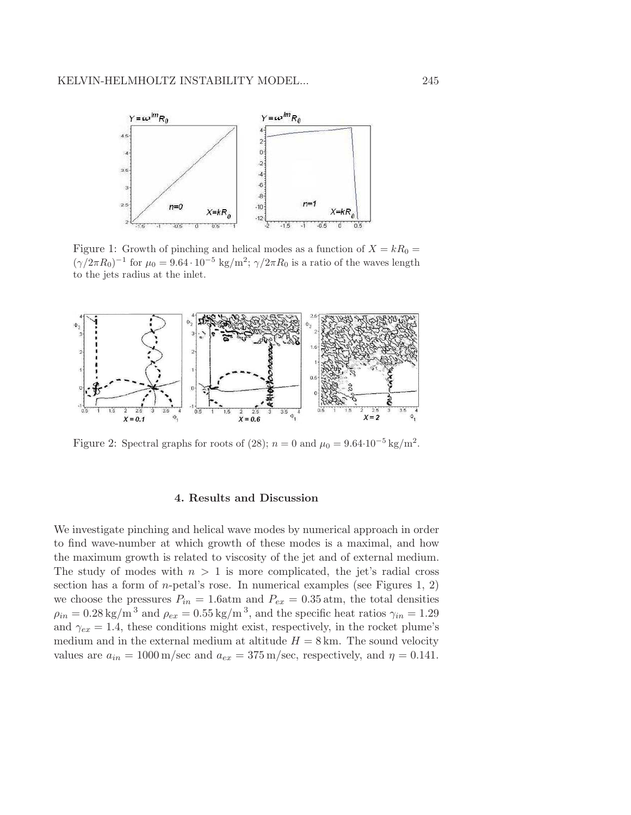

Figure 1: Growth of pinching and helical modes as a function of  $X = kR_0 =$  $(\gamma/2\pi R_0)^{-1}$  for  $\mu_0 = 9.64 \cdot 10^{-5}$  kg/m<sup>2</sup>;  $\gamma/2\pi R_0$  is a ratio of the waves length to the jets radius at the inlet.



Figure 2: Spectral graphs for roots of (28);  $n = 0$  and  $\mu_0 = 9.64 \cdot 10^{-5} \text{ kg/m}^2$ .

## 4. Results and Discussion

We investigate pinching and helical wave modes by numerical approach in order to find wave-number at which growth of these modes is a maximal, and how the maximum growth is related to viscosity of the jet and of external medium. The study of modes with  $n > 1$  is more complicated, the jet's radial cross section has a form of *n*-petal's rose. In numerical examples (see Figures 1, 2) we choose the pressures  $P_{in} = 1.6$ atm and  $P_{ex} = 0.35$  atm, the total densities  $\rho_{in} = 0.28 \text{ kg/m}^3$  and  $\rho_{ex} = 0.55 \text{ kg/m}^3$ , and the specific heat ratios  $\gamma_{in} = 1.29$ and  $\gamma_{ex} = 1.4$ , these conditions might exist, respectively, in the rocket plume's medium and in the external medium at altitude  $H = 8$  km. The sound velocity values are  $a_{in} = 1000 \,\mathrm{m/sec}$  and  $a_{ex} = 375 \,\mathrm{m/sec}$ , respectively, and  $\eta = 0.141$ .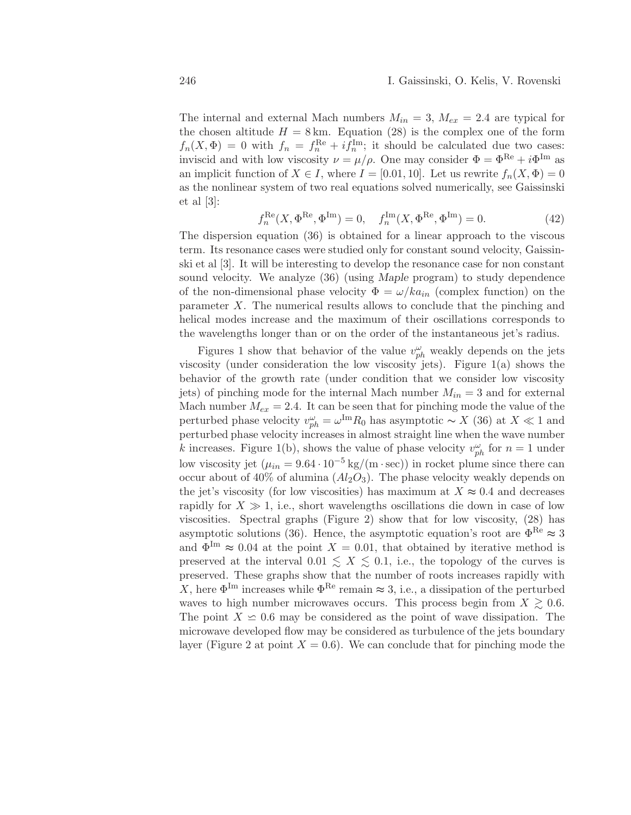The internal and external Mach numbers  $M_{in} = 3$ ,  $M_{ex} = 2.4$  are typical for the chosen altitude  $H = 8 \text{ km}$ . Equation (28) is the complex one of the form  $f_n(X, \Phi) = 0$  with  $f_n = f_n^{\text{Re}} + i f_n^{\text{Im}}$ ; it should be calculated due two cases: inviscid and with low viscosity  $\nu = \mu/\rho$ . One may consider  $\Phi = \Phi^{\text{Re}} + i\Phi^{\text{Im}}$  as an implicit function of  $X \in I$ , where  $I = [0.01, 10]$ . Let us rewrite  $f_n(X, \Phi) = 0$ as the nonlinear system of two real equations solved numerically, see Gaissinski et al [3]:

$$
f_n^{\text{Re}}(X, \Phi^{\text{Re}}, \Phi^{\text{Im}}) = 0, \quad f_n^{\text{Im}}(X, \Phi^{\text{Re}}, \Phi^{\text{Im}}) = 0.
$$
 (42)

The dispersion equation (36) is obtained for a linear approach to the viscous term. Its resonance cases were studied only for constant sound velocity, Gaissinski et al [3]. It will be interesting to develop the resonance case for non constant sound velocity. We analyze (36) (using Maple program) to study dependence of the non-dimensional phase velocity  $\Phi = \omega/ka_{in}$  (complex function) on the parameter X. The numerical results allows to conclude that the pinching and helical modes increase and the maximum of their oscillations corresponds to the wavelengths longer than or on the order of the instantaneous jet's radius.

Figures 1 show that behavior of the value  $v_{ph}^{\omega}$  weakly depends on the jets viscosity (under consideration the low viscosity jets). Figure  $1(a)$  shows the behavior of the growth rate (under condition that we consider low viscosity jets) of pinching mode for the internal Mach number  $M_{in} = 3$  and for external Mach number  $M_{ex} = 2.4$ . It can be seen that for pinching mode the value of the perturbed phase velocity  $v_{ph}^{\omega} = \omega^{\text{Im}} R_0$  has asymptotic ~ X (36) at  $X \ll 1$  and perturbed phase velocity increases in almost straight line when the wave number k increases. Figure 1(b), shows the value of phase velocity  $v_{ph}^{\omega}$  for  $n = 1$  under low viscosity jet  $(\mu_{in} = 9.64 \cdot 10^{-5} \text{ kg/(m \cdot sec)})$  in rocket plume since there can occur about of  $40\%$  of alumina  $(Al_2O_3)$ . The phase velocity weakly depends on the jet's viscosity (for low viscosities) has maximum at  $X \approx 0.4$  and decreases rapidly for  $X \gg 1$ , i.e., short wavelengths oscillations die down in case of low viscosities. Spectral graphs (Figure 2) show that for low viscosity, (28) has asymptotic solutions (36). Hence, the asymptotic equation's root are  $\Phi^{\text{Re}} \approx 3$ and  $\Phi^{\text{Im}} \approx 0.04$  at the point  $X = 0.01$ , that obtained by iterative method is preserved at the interval  $0.01 \leq X \leq 0.1$ , i.e., the topology of the curves is preserved. These graphs show that the number of roots increases rapidly with X, here  $\Phi^{\text{Im}}$  increases while  $\Phi^{\text{Re}}$  remain  $\approx 3$ , i.e., a dissipation of the perturbed waves to high number microwaves occurs. This process begin from  $X \geq 0.6$ . The point  $X \leq 0.6$  may be considered as the point of wave dissipation. The microwave developed flow may be considered as turbulence of the jets boundary layer (Figure 2 at point  $X = 0.6$ ). We can conclude that for pinching mode the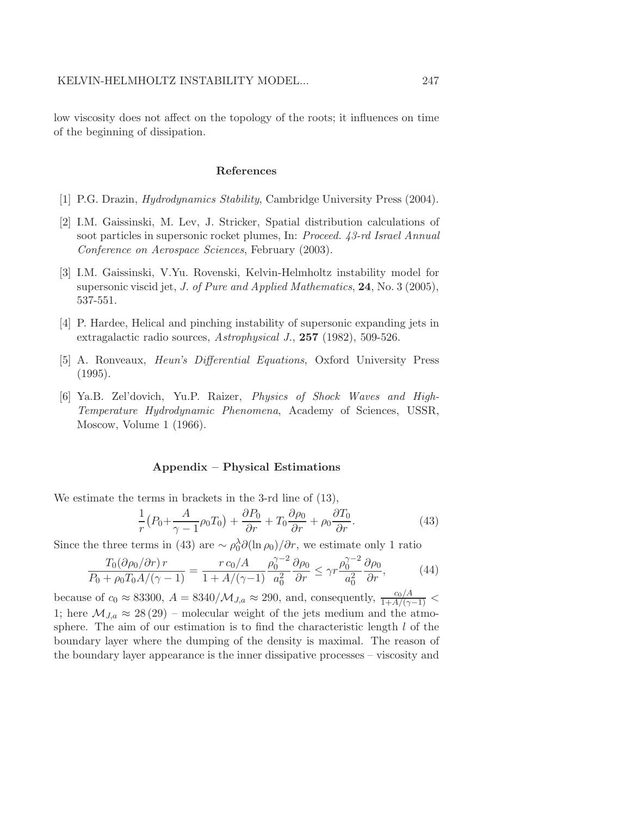low viscosity does not affect on the topology of the roots; it influences on time of the beginning of dissipation.

#### References

- [1] P.G. Drazin, Hydrodynamics Stability, Cambridge University Press (2004).
- [2] I.M. Gaissinski, M. Lev, J. Stricker, Spatial distribution calculations of soot particles in supersonic rocket plumes, In: Proceed. 43-rd Israel Annual Conference on Aerospace Sciences, February (2003).
- [3] I.M. Gaissinski, V.Yu. Rovenski, Kelvin-Helmholtz instability model for supersonic viscid jet, *J. of Pure and Applied Mathematics*, **24**, No. 3 (2005), 537-551.
- [4] P. Hardee, Helical and pinching instability of supersonic expanding jets in extragalactic radio sources, Astrophysical J., 257 (1982), 509-526.
- [5] A. Ronveaux, Heun's Differential Equations, Oxford University Press (1995).
- [6] Ya.B. Zel'dovich, Yu.P. Raizer, Physics of Shock Waves and High-Temperature Hydrodynamic Phenomena, Academy of Sciences, USSR, Moscow, Volume 1 (1966).

#### Appendix – Physical Estimations

We estimate the terms in brackets in the 3-rd line of (13),

$$
\frac{1}{r}(P_0 + \frac{A}{\gamma - 1}\rho_0 T_0) + \frac{\partial P_0}{\partial r} + T_0 \frac{\partial \rho_0}{\partial r} + \rho_0 \frac{\partial T_0}{\partial r}.
$$
\n(43)

Since the three terms in (43) are  $\sim \rho_0^{\lambda} \partial(\ln \rho_0)/\partial r$ , we estimate only 1 ratio

$$
\frac{T_0(\partial \rho_0/\partial r) r}{P_0 + \rho_0 T_0 A / (\gamma - 1)} = \frac{r c_0/A}{1 + A / (\gamma - 1)} \frac{\rho_0^{\gamma - 2}}{a_0^2} \frac{\partial \rho_0}{\partial r} \le \gamma r \frac{\rho_0^{\gamma - 2}}{a_0^2} \frac{\partial \rho_0}{\partial r},\tag{44}
$$

because of  $c_0 \approx 83300$ ,  $A = 8340/M_{J,a} \approx 290$ , and, consequently,  $\frac{c_0/A}{1+A/(\gamma-1)}$  < 1; here  $\mathcal{M}_{J,a} \approx 28(29)$  – molecular weight of the jets medium and the atmosphere. The aim of our estimation is to find the characteristic length  $l$  of the boundary layer where the dumping of the density is maximal. The reason of the boundary layer appearance is the inner dissipative processes – viscosity and